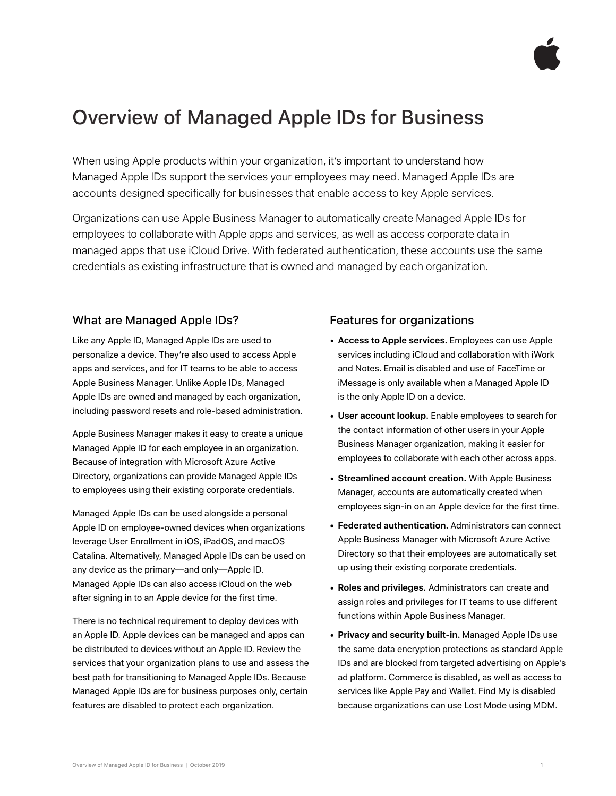

# Overview of Managed Apple IDs for Business

When using Apple products within your organization, it's important to understand how Managed Apple IDs support the services your employees may need. Managed Apple IDs are accounts designed specifically for businesses that enable access to key Apple services.

Organizations can use Apple Business Manager to automatically create Managed Apple IDs for employees to collaborate with Apple apps and services, as well as access corporate data in managed apps that use iCloud Drive. With federated authentication, these accounts use the same credentials as existing infrastructure that is owned and managed by each organization.

#### What are Managed Apple IDs?

Like any Apple ID, Managed Apple IDs are used to personalize a device. They're also used to access Apple apps and services, and for IT teams to be able to access Apple Business Manager. Unlike Apple IDs, Managed Apple IDs are owned and managed by each organization, including password resets and role-based administration.

Apple Business Manager makes it easy to create a unique Managed Apple ID for each employee in an organization. Because of integration with Microsoft Azure Active Directory, organizations can provide Managed Apple IDs to employees using their existing corporate credentials.

Managed Apple IDs can be used alongside a personal Apple ID on employee-owned devices when organizations leverage User Enrollment in iOS, iPadOS, and macOS Catalina. Alternatively, Managed Apple IDs can be used on any device as the primary—and only—Apple ID. Managed Apple IDs can also access iCloud on the web after signing in to an Apple device for the first time.

There is no technical requirement to deploy devices with an Apple ID. Apple devices can be managed and apps can be distributed to devices without an Apple ID. Review the services that your organization plans to use and assess the best path for transitioning to Managed Apple IDs. Because Managed Apple IDs are for business purposes only, certain features are disabled to protect each organization.

#### Features for organizations

- **Access to Apple services.** Employees can use Apple services including iCloud and collaboration with iWork and Notes. Email is disabled and use of FaceTime or iMessage is only available when a Managed Apple ID is the only Apple ID on a device.
- **User account lookup.** Enable employees to search for the contact information of other users in your Apple Business Manager organization, making it easier for employees to collaborate with each other across apps.
- **Streamlined account creation.** With Apple Business Manager, accounts are automatically created when employees sign-in on an Apple device for the first time.
- **• Federated authentication.** Administrators can connect Apple Business Manager with Microsoft Azure Active Directory so that their employees are automatically set up using their existing corporate credentials.
- **Roles and privileges.** Administrators can create and assign roles and privileges for IT teams to use different functions within Apple Business Manager.
- **Privacy and security built-in.** Managed Apple IDs use the same data encryption protections as standard Apple IDs and are blocked from targeted advertising on Apple's ad platform. Commerce is disabled, as well as access to services like Apple Pay and Wallet. Find My is disabled because organizations can use Lost Mode using MDM.